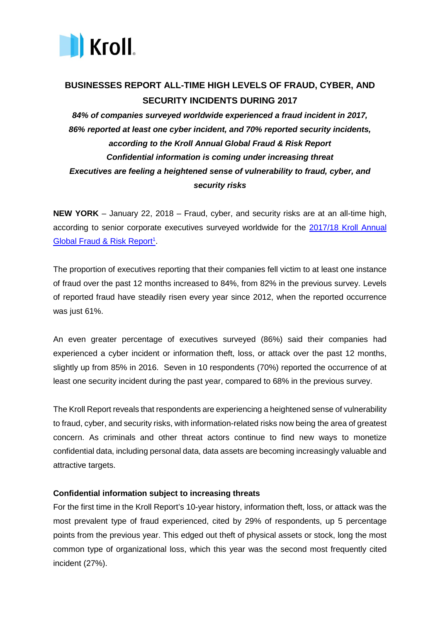

# **BUSINESSES REPORT ALL-TIME HIGH LEVELS OF FRAUD, CYBER, AND SECURITY INCIDENTS DURING 2017**

*84% of companies surveyed worldwide experienced a fraud incident in 2017, 86% reported at least one cyber incident, and 70% reported security incidents, according to the Kroll Annual Global Fraud & Risk Report Confidential information is coming under increasing threat Executives are feeling a heightened sense of vulnerability to fraud, cyber, and security risks*

**NEW YORK** – January 22, 2018 – Fraud, cyber, and security risks are at an all-time high, according to senior corporate executives surveyed worldwide for the [2017/18 Kroll Annual](http://info.kroll.com/gfrr2018)  Global Fraud & Risk Report<sup>1</sup>.

The proportion of executives reporting that their companies fell victim to at least one instance of fraud over the past 12 months increased to 84%, from 82% in the previous survey. Levels of reported fraud have steadily risen every year since 2012, when the reported occurrence was just 61%.

An even greater percentage of executives surveyed (86%) said their companies had experienced a cyber incident or information theft, loss, or attack over the past 12 months, slightly up from 85% in 2016. Seven in 10 respondents (70%) reported the occurrence of at least one security incident during the past year, compared to 68% in the previous survey.

The Kroll Report reveals that respondents are experiencing a heightened sense of vulnerability to fraud, cyber, and security risks, with information-related risks now being the area of greatest concern. As criminals and other threat actors continue to find new ways to monetize confidential data, including personal data, data assets are becoming increasingly valuable and attractive targets.

## **Confidential information subject to increasing threats**

For the first time in the Kroll Report's 10-year history, information theft, loss, or attack was the most prevalent type of fraud experienced, cited by 29% of respondents, up 5 percentage points from the previous year. This edged out theft of physical assets or stock, long the most common type of organizational loss, which this year was the second most frequently cited incident (27%).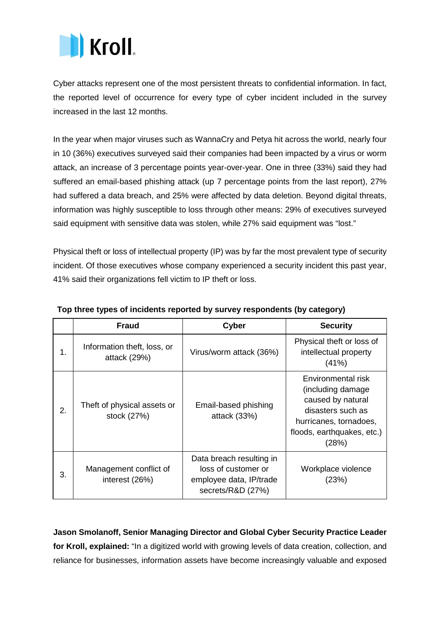

Cyber attacks represent one of the most persistent threats to confidential information. In fact, the reported level of occurrence for every type of cyber incident included in the survey increased in the last 12 months.

In the year when major viruses such as WannaCry and Petya hit across the world, nearly four in 10 (36%) executives surveyed said their companies had been impacted by a virus or worm attack, an increase of 3 percentage points year-over-year. One in three (33%) said they had suffered an email-based phishing attack (up 7 percentage points from the last report), 27% had suffered a data breach, and 25% were affected by data deletion. Beyond digital threats, information was highly susceptible to loss through other means: 29% of executives surveyed said equipment with sensitive data was stolen, while 27% said equipment was "lost."

Physical theft or loss of intellectual property (IP) was by far the most prevalent type of security incident. Of those executives whose company experienced a security incident this past year, 41% said their organizations fell victim to IP theft or loss.

|    | <b>Fraud</b>                                | <b>Cyber</b>                                                                                    | <b>Security</b>                                                                                                                                     |
|----|---------------------------------------------|-------------------------------------------------------------------------------------------------|-----------------------------------------------------------------------------------------------------------------------------------------------------|
| 1. | Information theft, loss, or<br>attack (29%) | Virus/worm attack (36%)                                                                         | Physical theft or loss of<br>intellectual property<br>(41%)                                                                                         |
| 2. | Theft of physical assets or<br>stock (27%)  | Email-based phishing<br>attack (33%)                                                            | Environmental risk<br>(including damage)<br>caused by natural<br>disasters such as<br>hurricanes, tornadoes,<br>floods, earthquakes, etc.)<br>(28%) |
| 3. | Management conflict of<br>interest (26%)    | Data breach resulting in<br>loss of customer or<br>employee data, IP/trade<br>secrets/R&D (27%) | Workplace violence<br>(23%)                                                                                                                         |

# **Top three types of incidents reported by survey respondents (by category)**

**Jason Smolanoff, Senior Managing Director and Global Cyber Security Practice Leader for Kroll, explained:** "In a digitized world with growing levels of data creation, collection, and reliance for businesses, information assets have become increasingly valuable and exposed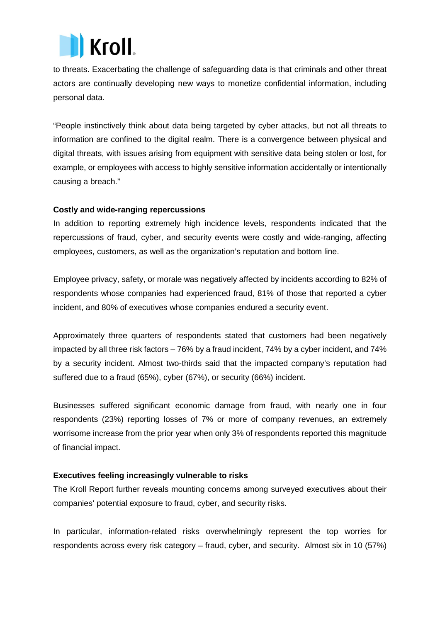

to threats. Exacerbating the challenge of safeguarding data is that criminals and other threat actors are continually developing new ways to monetize confidential information, including personal data.

"People instinctively think about data being targeted by cyber attacks, but not all threats to information are confined to the digital realm. There is a convergence between physical and digital threats, with issues arising from equipment with sensitive data being stolen or lost, for example, or employees with access to highly sensitive information accidentally or intentionally causing a breach."

# **Costly and wide-ranging repercussions**

In addition to reporting extremely high incidence levels, respondents indicated that the repercussions of fraud, cyber, and security events were costly and wide-ranging, affecting employees, customers, as well as the organization's reputation and bottom line.

Employee privacy, safety, or morale was negatively affected by incidents according to 82% of respondents whose companies had experienced fraud, 81% of those that reported a cyber incident, and 80% of executives whose companies endured a security event.

Approximately three quarters of respondents stated that customers had been negatively impacted by all three risk factors – 76% by a fraud incident, 74% by a cyber incident, and 74% by a security incident. Almost two-thirds said that the impacted company's reputation had suffered due to a fraud (65%), cyber (67%), or security (66%) incident.

Businesses suffered significant economic damage from fraud, with nearly one in four respondents (23%) reporting losses of 7% or more of company revenues, an extremely worrisome increase from the prior year when only 3% of respondents reported this magnitude of financial impact.

# **Executives feeling increasingly vulnerable to risks**

The Kroll Report further reveals mounting concerns among surveyed executives about their companies' potential exposure to fraud, cyber, and security risks.

In particular, information-related risks overwhelmingly represent the top worries for respondents across every risk category – fraud, cyber, and security. Almost six in 10 (57%)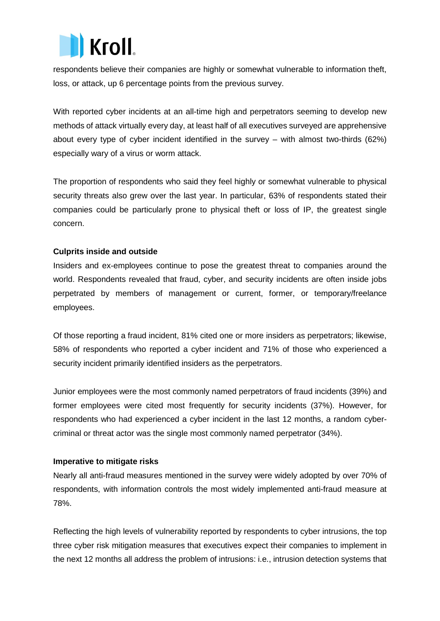

respondents believe their companies are highly or somewhat vulnerable to information theft, loss, or attack, up 6 percentage points from the previous survey.

With reported cyber incidents at an all-time high and perpetrators seeming to develop new methods of attack virtually every day, at least half of all executives surveyed are apprehensive about every type of cyber incident identified in the survey – with almost two-thirds (62%) especially wary of a virus or worm attack.

The proportion of respondents who said they feel highly or somewhat vulnerable to physical security threats also grew over the last year. In particular, 63% of respondents stated their companies could be particularly prone to physical theft or loss of IP, the greatest single concern.

# **Culprits inside and outside**

Insiders and ex-employees continue to pose the greatest threat to companies around the world. Respondents revealed that fraud, cyber, and security incidents are often inside jobs perpetrated by members of management or current, former, or temporary/freelance employees.

Of those reporting a fraud incident, 81% cited one or more insiders as perpetrators; likewise, 58% of respondents who reported a cyber incident and 71% of those who experienced a security incident primarily identified insiders as the perpetrators.

Junior employees were the most commonly named perpetrators of fraud incidents (39%) and former employees were cited most frequently for security incidents (37%). However, for respondents who had experienced a cyber incident in the last 12 months, a random cybercriminal or threat actor was the single most commonly named perpetrator (34%).

## **Imperative to mitigate risks**

Nearly all anti-fraud measures mentioned in the survey were widely adopted by over 70% of respondents, with information controls the most widely implemented anti-fraud measure at 78%.

Reflecting the high levels of vulnerability reported by respondents to cyber intrusions, the top three cyber risk mitigation measures that executives expect their companies to implement in the next 12 months all address the problem of intrusions: i.e., intrusion detection systems that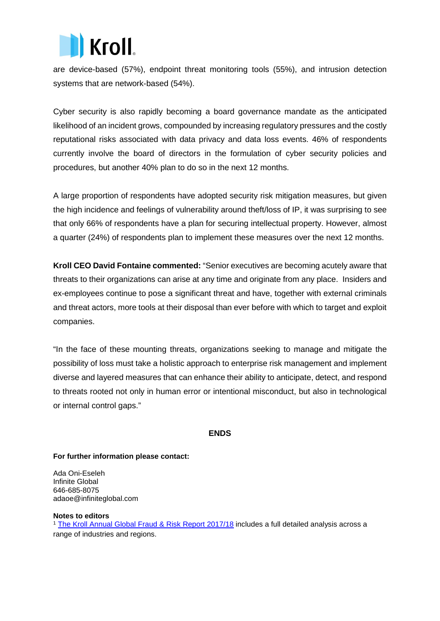

are device-based (57%), endpoint threat monitoring tools (55%), and intrusion detection systems that are network-based (54%).

Cyber security is also rapidly becoming a board governance mandate as the anticipated likelihood of an incident grows, compounded by increasing regulatory pressures and the costly reputational risks associated with data privacy and data loss events. 46% of respondents currently involve the board of directors in the formulation of cyber security policies and procedures, but another 40% plan to do so in the next 12 months.

A large proportion of respondents have adopted security risk mitigation measures, but given the high incidence and feelings of vulnerability around theft/loss of IP, it was surprising to see that only 66% of respondents have a plan for securing intellectual property. However, almost a quarter (24%) of respondents plan to implement these measures over the next 12 months.

**Kroll CEO David Fontaine commented:** "Senior executives are becoming acutely aware that threats to their organizations can arise at any time and originate from any place. Insiders and ex-employees continue to pose a significant threat and have, together with external criminals and threat actors, more tools at their disposal than ever before with which to target and exploit companies.

"In the face of these mounting threats, organizations seeking to manage and mitigate the possibility of loss must take a holistic approach to enterprise risk management and implement diverse and layered measures that can enhance their ability to anticipate, detect, and respond to threats rooted not only in human error or intentional misconduct, but also in technological or internal control gaps."

## **ENDS**

## **For further information please contact:**

Ada Oni-Eseleh Infinite Global 646-685-8075 adaoe@infiniteglobal.com

#### **Notes to editors**

<sup>1</sup> [The Kroll Annual Global Fraud & Risk Report 2017/18](http://info.kroll.com/gfrr2018) includes a full detailed analysis across a range of industries and regions.